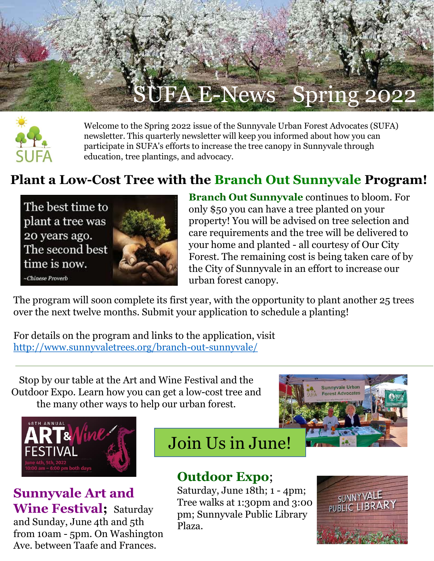



Welcome to the Spring 2022 issue of the Sunnyvale Urban Forest Advocates (SUFA) newsletter. This quarterly newsletter will keep you informed about how you can participate in SUFA's efforts to increase the tree canopy in Sunnyvale through education, tree plantings, and advocacy.

## **Plant a Low-Cost Tree with the Branch Out Sunnyvale Program!**

The best time to plant a tree was 20 years ago. The second best time is now. **Chinese Proverb** 



**Branch Out Sunnyvale** continues to bloom. For only \$50 you can have a tree planted on your property! You will be advised on tree selection and care requirements and the tree will be delivered to your home and planted - all courtesy of Our City Forest. The remaining cost is being taken care of by the City of Sunnyvale in an effort to increase our urban forest canopy.

The program will soon complete its first year, with the opportunity to plant another 25 trees over the next twelve months. Submit your application to schedule a planting!

For details on the program and links to the application, visit <http://www.sunnyvaletrees.org/branch-out-sunnyvale/>

Stop by our table at the Art and Wine Festival and the Outdoor Expo. Learn how you can get a low-cost tree and the many other ways to help our urban forest.



**Sunnyvale Art and Wine Festival;** Saturday and Sunday, June 4th and 5th from 10am - 5pm. On Washington Ave. between Taafe and Frances.

Join Us in June!

## **Outdoor Expo**;

Saturday, June 18th; 1 - 4pm; Tree walks at 1:30pm and 3:00 pm; Sunnyvale Public Library Plaza.



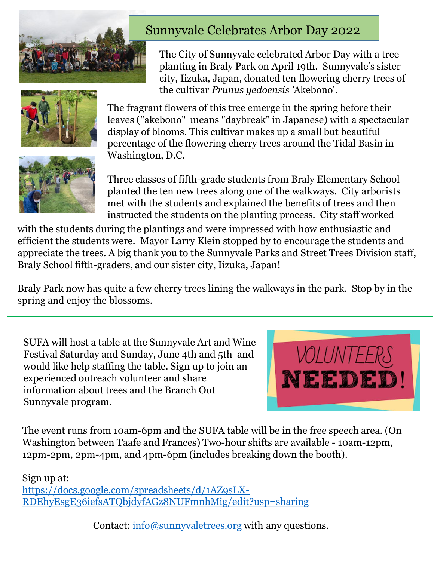

### Sunnyvale Celebrates Arbor Day 2022

The City of Sunnyvale celebrated Arbor Day with a tree planting in Braly Park on April 19th. Sunnyvale's sister city, Iizuka, Japan, donated ten flowering cherry trees of the cultivar *Prunus yedoensis '*Akebono'.



The fragrant flowers of this tree emerge in the spring before their leaves ("akebono" means "daybreak" in Japanese) with a spectacular display of blooms. This cultivar makes up a small but beautiful percentage of the flowering cherry trees around the Tidal Basin in Washington, D.C.



Three classes of fifth-grade students from Braly Elementary School planted the ten new trees along one of the walkways. City arborists met with the students and explained the benefits of trees and then instructed the students on the planting process. City staff worked

with the students during the plantings and were impressed with how enthusiastic and efficient the students were. Mayor Larry Klein stopped by to encourage the students and appreciate the trees. A big thank you to the Sunnyvale Parks and Street Trees Division staff, Braly School fifth-graders, and our sister city, Iizuka, Japan!

Braly Park now has quite a few cherry trees lining the walkways in the park. Stop by in the spring and enjoy the blossoms.

SUFA will host a table at the Sunnyvale Art and Wine Festival Saturday and Sunday, June 4th and 5th and would like help staffing the table. Sign up to join an experienced outreach volunteer and share information about trees and the Branch Out Sunnyvale program.



The event runs from 10am-6pm and the SUFA table will be in the free speech area. (On Washington between Taafe and Frances) Two-hour shifts are available - 10am-12pm, 12pm-2pm, 2pm-4pm, and 4pm-6pm (includes breaking down the booth).

Sign up at:

https://docs.google.com/spreadsheets/d/1AZ9sLX-[RDEhyEsgE36iefsATQbjdyfAGz8NUFmnhMig/edit?usp=sharing](https://docs.google.com/spreadsheets/d/1AZ9sLX-RDEhyEsgE36iefsATQbjdyfAGz8NUFmnhMig/edit?usp=sharing)

Contact: [info@sunnyvaletrees.org](mailto:info@sunnyvaletrees.org?subject=Volunteering%20for%20the%20Art%20and%20Wine%20Festival) with any questions.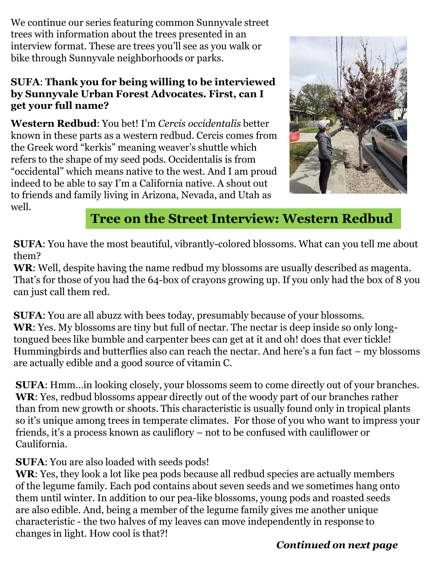We continue our series featuring common Sunnyvale street trees with information about the trees presented in an interview format. These are trees you'll see as you walk or bike through Sunnyvale neighborhoods or parks.

#### **SUFA**: **Thank you for being willing to be interviewed by Sunnyvale Urban Forest Advocates. First, can I get your full name?**

**Western Redbud**: You bet! I'm *Cercis occidentalis* better known in these parts as a western redbud. Cercis comes from the Greek word "kerkis" meaning weaver's shuttle which refers to the shape of my seed pods. Occidentalis is from "occidental" which means native to the west. And I am proud indeed to be able to say I'm a California native. A shout out to friends and family living in Arizona, Nevada, and Utah as well.



## **Tree on the Street Interview: Western Redbud**

**SUFA**: You have the most beautiful, vibrantly-colored blossoms. What can you tell me about them?

**WR**: Well, despite having the name redbud my blossoms are usually described as magenta. That's for those of you had the 64-box of crayons growing up. If you only had the box of 8 you can just call them red.

**SUFA**: You are all abuzz with bees today, presumably because of your blossoms. **WR**: Yes. My blossoms are tiny but full of nectar. The nectar is deep inside so only longtongued bees like bumble and carpenter bees can get at it and oh! does that ever tickle! Hummingbirds and butterflies also can reach the nectar. And here's a fun fact – my blossoms are actually edible and a good source of vitamin C.

**SUFA**: Hmm…in looking closely, your blossoms seem to come directly out of your branches. **WR**: Yes, redbud blossoms appear directly out of the woody part of our branches rather than from new growth or shoots. This characteristic is usually found only in tropical plants so it's unique among trees in temperate climates. For those of you who want to impress your friends, it's a process known as cauliflory – not to be confused with cauliflower or Caulifornia.

#### **SUFA**: You are also loaded with seeds pods!

**WR**: Yes, they look a lot like pea pods because all redbud species are actually members of the legume family. Each pod contains about seven seeds and we sometimes hang onto them until winter. In addition to our pea-like blossoms, young pods and roasted seeds are also edible. And, being a member of the legume family gives me another unique characteristic - the two halves of my leaves can move independently in response to changes in light. How cool is that?!

#### *Continued on next page*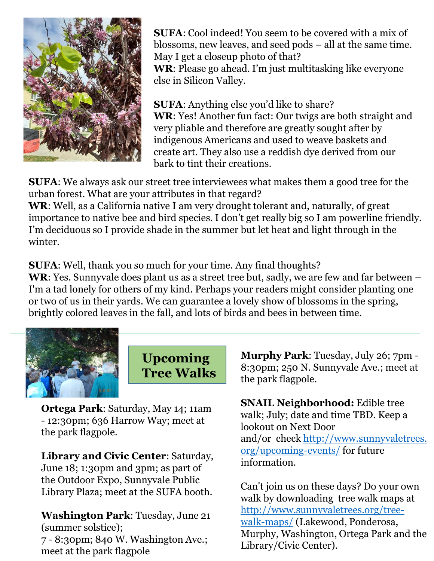

**SUFA**: Cool indeed! You seem to be covered with a mix of blossoms, new leaves, and seed pods – all at the same time. May I get a closeup photo of that?

**WR**: Please go ahead. I'm just multitasking like everyone else in Silicon Valley.

**SUFA**: Anything else you'd like to share? **WR**: Yes! Another fun fact: Our twigs are both straight and very pliable and therefore are greatly sought after by indigenous Americans and used to weave baskets and create art. They also use a reddish dye derived from our bark to tint their creations.

**SUFA**: We always ask our street tree interviewees what makes them a good tree for the urban forest. What are your attributes in that regard?

**WR**: Well, as a California native I am very drought tolerant and, naturally, of great importance to native bee and bird species. I don't get really big so I am powerline friendly. I'm deciduous so I provide shade in the summer but let heat and light through in the winter.

**SUFA**: Well, thank you so much for your time. Any final thoughts? **WR**: Yes. Sunnyvale does plant us as a street tree but, sadly, we are few and far between – I'm a tad lonely for others of my kind. Perhaps your readers might consider planting one or two of us in their yards. We can guarantee a lovely show of blossoms in the spring, brightly colored leaves in the fall, and lots of birds and bees in between time.



**Upcoming Tree Walks**

**Ortega Park**: Saturday, May 14; 11am - 12:30pm; 636 Harrow Way; meet at the park flagpole.

**Library and Civic Center**: Saturday, June 18; 1:30pm and 3pm; as part of the Outdoor Expo, Sunnyvale Public Library Plaza; meet at the SUFA booth.

**Washington Park**: Tuesday, June 21 (summer solstice); 7 - 8:30pm; 840 W. Washington Ave.; meet at the park flagpole

**Murphy Park**: Tuesday, July 26; 7pm - 8:30pm; 250 N. Sunnyvale Ave.; meet at the park flagpole.

**SNAIL Neighborhood:** Edible tree walk; July; date and time TBD. Keep a lookout on Next Door and/or check [http://www.sunnyvaletrees.](http://www.sunnyvaletrees.org/upcoming-events/) org/upcoming-events/ for future information.

Can't join us on these days? Do your own walk by downloading tree walk maps at [http://www.sunnyvaletrees.org/tree](http://www.sunnyvaletrees.org/tree-walk-maps/)walk-maps/ (Lakewood, Ponderosa, Murphy, Washington, Ortega Park and the Library/Civic Center).